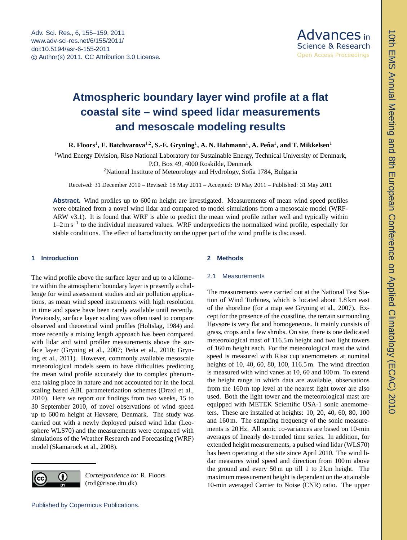

# <span id="page-0-0"></span>**Atmospheric boundary layer wind profile at a flat**  $\frac{1}{2}$ coastal site – wind speed lidar measurements **and mesoscale modeling results**

R. Floors<sup>1</sup>, E. Batchvarova<sup>1,2</sup>, S.-E. Gryning<sup>1</sup>, A. N. Hahmann<sup>1</sup>, A. Peña<sup>1</sup>, and T. Mikkelsen<sup>1</sup>

R. Floors<sup>1</sup>, E. Batchvarova<sup>1,2</sup>, S.-E. Gryning<sup>1</sup>, A. N. Hahmann<sup>1</sup>, A. Peña<sup>1</sup>, and T. Mikkelsen<sup>1</sup><br><sup>1</sup>Wind Energy Division, Risø National Laboratory for Sustainable Energy, Technical University of Denmark,<br><sup>2</sup>National P.O. Box 49, 4000 Roskilde, Denmark

<sup>2</sup>National Institute of Meteorology and Hydrology, Sofia 1784, Bulgaria

Received: 31 December 2010 – Revised: 18 May 2011 – Accepted: 19 May 2011 – Published: 31 May 2011

**Abstract.** Wind profiles up to 600 m height are investigated. Measurements of mean wind speed profiles were obtained from a novel wind lidar and compared to model simulations from a mesoscale model (WRF-ARW v3.1). It is found that WRF is able to predict the mean wind profile rather well and typically within 1–2 m s<sup>-1</sup> to the individual measured values. WRF underpredicts the normalized wind profile, especially for stable conditions. The effect of baroclinicity on the upper part of the wind profile is discussed.

## **1 Introduction**

The wind profile above the surface layer and up to a kilometre within the atmospheric boundary layer is presently a challenge for wind assessment studies and air pollution applications, as mean wind speed instruments with high resolution in time and space have been rarely available until recently. Previously, surface layer scaling was often used to compare observed and theoretical wind profiles [\(Holtslag,](#page-4-0) [1984\)](#page-4-0) and more recently a mixing length approach has been compared with lidar and wind profiler measurements above the sur-face layer [\(Gryning et al.,](#page-4-1) [2007;](#page-4-1) Peña et al., [2010;](#page-4-2) [Gryn](#page-4-3)[ing et al.,](#page-4-3) [2011\)](#page-4-3). However, commonly available mesoscale meteorological models seem to have difficulties predicting the mean wind profile accurately due to complex phenomena taking place in nature and not accounted for in the local scaling based ABL parameterization schemes [\(Draxl et al.,](#page-4-4) [2010\)](#page-4-4). Here we report our findings from two weeks, 15 to 30 September 2010, of novel observations of wind speed up to 600 m height at Høvsøre, Denmark. The study was carried out with a newly deployed pulsed wind lidar (Leosphere WLS70) and the measurements were compared with simulations of the Weather Research and Forecasting (WRF) model [\(Skamarock et al.,](#page-4-5) [2008\)](#page-4-5).



*Correspondence to:* R. Floors (rofl@risoe.dtu.dk)

#### **2 Methods**

#### 2.1 Measurements

The measurements were carried out at the National Test Station of Wind Turbines, which is located about 1.8 km east of the shoreline (for a map see [Gryning et al.,](#page-4-1) [2007\)](#page-4-1). Except for the presence of the coastline, the terrain surrounding Høvsøre is very flat and homogeneous. It mainly consists of grass, crops and a few shrubs. On site, there is one dedicated meteorological mast of 116.5 m height and two light towers of 160 m height each. For the meteorological mast the wind speed is measured with Risø cup anemometers at nominal heights of 10, 40, 60, 80, 100, 116.5 m. The wind direction is measured with wind vanes at 10, 60 and 100 m. To extend the height range in which data are available, observations from the 160 m top level at the nearest light tower are also used. Both the light tower and the meteorological mast are equipped with METEK Scientific USA-1 sonic anemometers. These are installed at heights: 10, 20, 40, 60, 80, 100 and 160 m. The sampling frequency of the sonic measurements is 20 Hz. All sonic co-variances are based on 10-min averages of linearly de-trended time series. In addition, for extended height measurements, a pulsed wind lidar (WLS70) has been operating at the site since April 2010. The wind lidar measures wind speed and direction from 100 m above the ground and every 50 m up till 1 to 2 km height. The maximum measurement height is dependent on the attainable 10-min averaged Carrier to Noise (CNR) ratio. The upper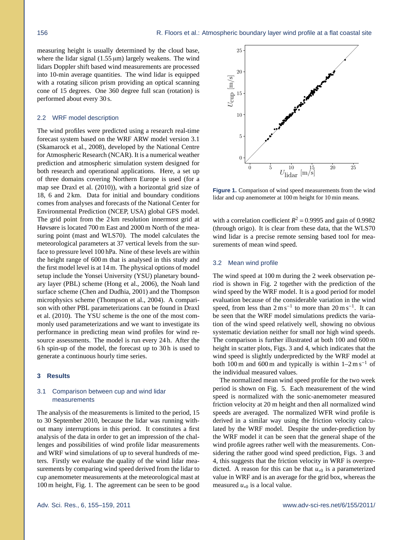measuring height is usually determined by the cloud base, where the lidar signal  $(1.55 \,\mu\text{m})$  largely weakens. The wind lidars Doppler shift based wind measurements are processed into 10-min average quantities. The wind lidar is equipped with a rotating silicon prism providing an optical scanning cone of 15 degrees. One 360 degree full scan (rotation) is performed about every 30 s.

#### 2.2 WRF model description

The wind profiles were predicted using a research real-time forecast system based on the WRF ARW model version 3.1 [\(Skamarock et al.,](#page-4-5) [2008\)](#page-4-5), developed by the National Centre for Atmospheric Research (NCAR). It is a numerical weather prediction and atmospheric simulation system designed for both research and operational applications. Here, a set up of three domains covering Northern Europe is used (for a map see [Draxl et al.](#page-4-4) [\(2010\)](#page-4-4)), with a horizontal grid size of 18, 6 and 2 km. Data for initial and boundary conditions comes from analyses and forecasts of the National Center for Environmental Prediction (NCEP, USA) global GFS model. The grid point from the 2 km resolution innermost grid at Høvsøre is located 700 m East and 2000 m North of the measuring point (mast and WLS70). The model calculates the meteorological parameters at 37 vertical levels from the surface to pressure level 100 hPa. Nine of these levels are within the height range of 600 m that is analysed in this study and the first model level is at 14 m. The physical options of model setup include the Yonsei University (YSU) planetary boundary layer (PBL) scheme [\(Hong et al.,](#page-4-6) [2006\)](#page-4-6), the Noah land surface scheme [\(Chen and Dudhia,](#page-4-7) [2001\)](#page-4-7) and the Thompson microphysics scheme [\(Thompson et al.,](#page-4-8) [2004\)](#page-4-8). A comparison with other PBL parameterizations can be found in [Draxl](#page-4-4) [et al.](#page-4-4) [\(2010\)](#page-4-4). The YSU scheme is the one of the most commonly used parameterizations and we want to investigate its performance in predicting mean wind profiles for wind resource assessments. The model is run every 24 h. After the 6 h spin-up of the model, the forecast up to 30 h is used to generate a continuous hourly time series.

#### **3 Results**

## 3.1 Comparison between cup and wind lidar measurements

The analysis of the measurements is limited to the period, 15 to 30 September 2010, because the lidar was running without many interruptions in this period. It constitutes a first analysis of the data in order to get an impression of the challenges and possibilities of wind profile lidar measurements and WRF wind simulations of up to several hundreds of meters. Firstly we evaluate the quality of the wind lidar measurements by comparing wind speed derived from the lidar to cup anemometer measurements at the meteorological mast at 100 m height, Fig. [1.](#page-1-0) The agreement can be seen to be good



<span id="page-1-0"></span>**Figure 1.** Comparison of wind speed measurements from the wind lidar and cup anemometer at 100 m height for 10 min means.

with a correlation coefficient  $R^2 = 0.9995$  and gain of 0.9982<br>(through origo) It is clear from these data that the WI S70 (through origo). It is clear from these data, that the WLS70 wind lidar is a precise remote sensing based tool for measurements of mean wind speed.

## <span id="page-1-1"></span>3.2 Mean wind profile

The wind speed at 100 m during the 2 week observation period is shown in Fig. [2](#page-2-0) together with the prediction of the wind speed by the WRF model. It is a good period for model evaluation because of the considerable variation in the wind speed, from less than  $2 \text{ m s}^{-1}$  to more than  $20 \text{ m s}^{-1}$ . It can be seen that the WRF model simulations predicts the variation of the wind speed relatively well, showing no obvious systematic deviation neither for small nor high wind speeds. The comparison is further illustrated at both 100 and 600 m height in scatter plots, Figs. [3](#page-2-1) and [4,](#page-2-2) which indicates that the wind speed is slightly underpredicted by the WRF model at both 100 m and 600 m and typically is within  $1-2 \text{ m s}^{-1}$  of the individual measured values.

The normalized mean wind speed profile for the two week period is shown on Fig. [5.](#page-2-3) Each measurement of the wind speed is normalized with the sonic-anemometer measured friction velocity at 20 m height and then all normalized wind speeds are averaged. The normalized WFR wind profile is derived in a similar way using the friction velocity calculated by the WRF model. Despite the under-prediction by the WRF model it can be seen that the general shape of the wind profile agrees rather well with the measurements. Considering the rather good wind speed prediction, Figs. [3](#page-2-1) and [4,](#page-2-2) this suggests that the friction velocity in WRF is overpredicted. A reason for this can be that  $u_{*0}$  is a parameterized value in WRF and is an average for the grid box, whereas the measured  $u_{*0}$  is a local value.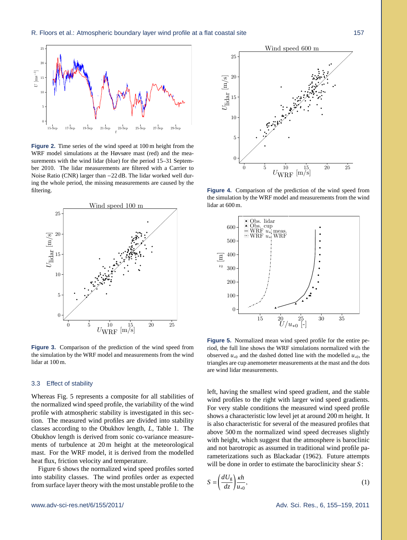

<span id="page-2-0"></span>**Figure 2.** Time series of the wind speed at 100 m height from the WRF model simulations at the Høvsøre mast (red) and the measurements with the wind lidar (blue) for the period 15–31 September 2010. The lidar measurements are filtered with a Carrier to Noise Ratio (CNR) larger than −22 dB. The lidar worked well during the whole period, the missing measurements are caused by the filtering.



<span id="page-2-1"></span>**Figure 3.** Comparison of the prediction of the wind speed from the simulation by the WRF model and measurements from the wind lidar at 100 m.

#### 3.3 Effect of stability

Whereas Fig. [5](#page-2-3) represents a composite for all stabilities of the normalized wind speed profile, the variability of the wind profile with atmospheric stability is investigated in this section. The measured wind profiles are divided into stability classes according to the Obukhov length, *L*, Table [1.](#page-3-0) The Obukhov length is derived from sonic co-variance measurements of turbulence at 20 m height at the meteorological mast. For the WRF model, it is derived from the modelled heat flux, friction velocity and temperature.

Figure [6](#page-3-1) shows the normalized wind speed profiles sorted into stability classes. The wind profiles order as expected from surface layer theory with the most unstable profile to the



<span id="page-2-2"></span>**Figure 4.** Comparison of the prediction of the wind speed from the simulation by the WRF model and measurements from the wind lidar at 600 m.



<span id="page-2-3"></span>**Figure 5.** Normalized mean wind speed profile for the entire period, the full line shows the WRF simulations normalized with the observed  $u_{*0}$  and the dashed dotted line with the modelled  $u_{*0}$ , the triangles are cup anemometer measurements at the mast and the dots are wind lidar measurements.

left, having the smallest wind speed gradient, and the stable wind profiles to the right with larger wind speed gradients. For very stable conditions the measured wind speed profile shows a characteristic low level jet at around 200 m height. It is also characteristic for several of the measured profiles that above 500 m the normalized wind speed decreases slightly with height, which suggest that the atmosphere is baroclinic and not barotropic as assumed in traditional wind profile parameterizations such as [Blackadar](#page-4-9) [\(1962\)](#page-4-9). Future attempts will be done in order to estimate the baroclinicity shear *S* :

$$
S = \left(\frac{dU_g}{dz}\right)\frac{\kappa h}{u_{*0}},\tag{1}
$$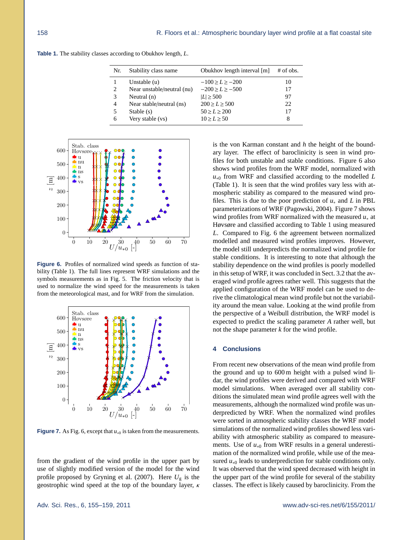<span id="page-3-0"></span>**Table 1.** The stability classes according to Obukhov length, *L*.

| Nr.            | Stability class name       | Obukhov length interval [m] | $#$ of obs. |
|----------------|----------------------------|-----------------------------|-------------|
|                | Unstable $(u)$             | $-100 > L > -200$           | 10          |
| 2              | Near unstable/neutral (nu) | $-200 > L > -500$           | 17          |
| $\mathcal{R}$  | Neutral $(n)$              | $ L  \geq 500$              | 97          |
| $\overline{4}$ | Near stable/neutral (ns)   | 200 > L > 500               | 22          |
| 5              | Stable $(s)$               | 50 > L > 200                | 17          |
| 6              | Very stable (vs)           | 10 > L > 50                 | 8           |
|                |                            |                             |             |



<span id="page-3-1"></span>**Figure 6.** Profiles of normalized wind speeds as function of stability (Table [1\)](#page-3-0). The full lines represent WRF simulations and the symbols measurements as in Fig. [5.](#page-2-3) The friction velocity that is used to normalize the wind speed for the measurements is taken from the meteorological mast, and for WRF from the simulation.



<span id="page-3-2"></span>**Figure 7.** As Fig. [6,](#page-3-1) except that  $u_{*0}$  is taken from the measurements.

from the gradient of the wind profile in the upper part by use of slightly modified version of the model for the wind profile proposed by [Gryning et al.](#page-4-1) [\(2007\)](#page-4-1). Here  $U<sub>g</sub>$  is the geostrophic wind speed at the top of the boundary layer, κ is the von Karman constant and *h* the height of the boundary layer. The effect of baroclinicity is seen in wind profiles for both unstable and stable conditions. Figure [6](#page-3-1) also shows wind profiles from the WRF model, normalized with *u*<sup>∗0</sup> from WRF and classified according to the modelled *L* (Table [1\)](#page-3-0). It is seen that the wind profiles vary less with atmospheric stability as compared to the measured wind profiles. This is due to the poor prediction of *u*<sup>∗</sup> and *L* in PBL parameterizations of WRF [\(Pagowski,](#page-4-10) [2004\)](#page-4-10). Figure [7](#page-3-2) shows wind profiles from WRF normalized with the measured *u*<sup>∗</sup> at Høvsøre and classified according to Table [1](#page-3-0) using measured *L*. Compared to Fig. [6](#page-3-1) the agreement between normalized modelled and measured wind profiles improves. However, the model still underpredicts the normalized wind profile for stable conditions. It is interesting to note that although the stability dependence on the wind profiles is poorly modelled in this setup of WRF, it was concluded in Sect. [3.2](#page-1-1) that the averaged wind profile agrees rather well. This suggests that the applied configuration of the WRF model can be used to derive the climatological mean wind profile but not the variability around the mean value. Looking at the wind profile from the perspective of a Weibull distribution, the WRF model is expected to predict the scaling parameter *A* rather well, but not the shape parameter *k* for the wind profile.

### **4 Conclusions**

From recent new observations of the mean wind profile from the ground and up to 600 m height with a pulsed wind lidar, the wind profiles were derived and compared with WRF model simulations. When averaged over all stability conditions the simulated mean wind profile agrees well with the measurements, although the normalized wind profile was underpredicted by WRF. When the normalized wind profiles were sorted in atmospheric stability classes the WRF model simulations of the normalized wind profiles showed less variability with atmospheric stability as compared to measurements. Use of  $u_{*0}$  from WRF results in a general underestimation of the normalized wind profile, while use of the measured  $u_{*0}$  leads to underprediction for stable conditions only. It was observed that the wind speed decreased with height in the upper part of the wind profile for several of the stability classes. The effect is likely caused by baroclinicity. From the